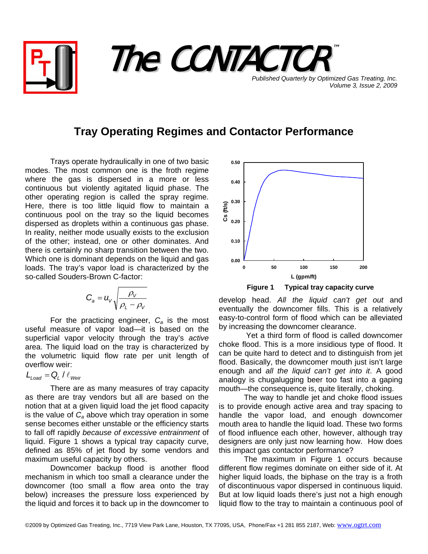

**Tray Operating Regimes and Contactor Performance** 

Trays operate hydraulically in one of two basic modes. The most common one is the froth regime where the gas is dispersed in a more or less continuous but violently agitated liquid phase. The other operating region is called the spray regime. Here, there is too little liquid flow to maintain a continuous pool on the tray so the liquid becomes dispersed as droplets within a continuous gas phase. In reality, neither mode usually exists to the exclusion of the other; instead, one or other dominates. And there is certainly no sharp transition between the two. Which one is dominant depends on the liquid and gas loads. The tray's vapor load is characterized by the so-called Souders-Brown C-factor:

$$
C_a = u_v \sqrt{\frac{\rho_v}{\rho_L - \rho_v}}
$$

For the practicing engineer, *Ca* is the most useful measure of vapor load—it is based on the superficial vapor velocity through the tray's *active* area. The liquid load on the tray is characterized by the volumetric liquid flow rate per unit length of overflow weir:

$$
L_{\text{Load}} = Q_{\text{L}} / \ell_{\text{Weir}}
$$

There are as many measures of tray capacity as there are tray vendors but all are based on the notion that at a given liquid load the jet flood capacity is the value of  $C_a$  above which tray operation in some sense becomes either unstable or the efficiency starts to fall off rapidly *because of excessive entrainment* of liquid. Figure 1 shows a typical tray capacity curve, defined as 85% of jet flood by some vendors and maximum useful capacity by others.

Downcomer backup flood is another flood mechanism in which too small a clearance under the downcomer (too small a flow area onto the tray below) increases the pressure loss experienced by the liquid and forces it to back up in the downcomer to



**Figure 1 Typical tray capacity curve** 

*Volume 3, Issue 2, 2009*

develop head. *All the liquid can't get out* and eventually the downcomer fills. This is a relatively easy-to-control form of flood which can be alleviated by increasing the downcomer clearance.

 Yet a third form of flood is called downcomer choke flood. This is a more insidious type of flood. It can be quite hard to detect and to distinguish from jet flood. Basically, the downcomer mouth just isn't large enough and *all the liquid can't get into it*. A good analogy is chugalugging beer too fast into a gaping mouth—the consequence is, quite literally, choking.

The way to handle jet and choke flood issues is to provide enough active area and tray spacing to handle the vapor load, and enough downcomer mouth area to handle the liquid load. These two forms of flood influence each other, however, although tray designers are only just now learning how. How does this impact gas contactor performance?

The maximum in Figure 1 occurs because different flow regimes dominate on either side of it. At higher liquid loads, the biphase on the tray is a froth of discontinuous vapor dispersed in continuous liquid. But at low liquid loads there's just not a high enough liquid flow to the tray to maintain a continuous pool of